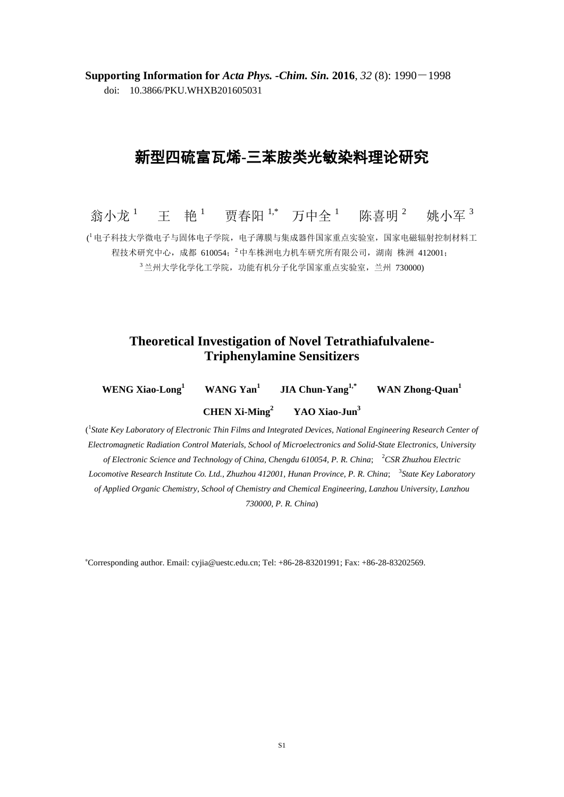**Supporting Information for** *Acta Phys. -Chim. Sin.* **2016**, *32* (8): 1990-1998 doi: 10.3866/PKU.WHXB201605031

## 新型四硫富瓦烯**-**三苯胺类光敏染料理论研究

翁小龙<sup>1</sup> 王 艳<sup>1</sup> 贾春阳 <sup>1,\*</sup> 万中全 <sup>1</sup> 陈喜明 <sup>2</sup> 姚小军 <sup>3</sup> ('电子科技大学微电子与固体电子学院,电子薄膜与集成器件国家重点实验室,国家电磁辐射控制材料工 程技术研究中心,成都 610054; 2中车株洲电力机车研究所有限公司, 湖南 株洲 412001; <sup>3</sup>兰州大学化学化工学院,功能有机分子化学国家重点实验室, 兰州 730000)

## **Theoretical Investigation of Novel Tetrathiafulvalene-Triphenylamine Sensitizers**

| WENG Xiao-Long <sup>1</sup> | WANG $Yan^1$              | <b>JIA Chun-Yang</b> <sup>1,*</sup> | WAN Zhong-Quan <sup>1</sup> |
|-----------------------------|---------------------------|-------------------------------------|-----------------------------|
|                             | CHEN Xi-Ming <sup>2</sup> | YAO Xiao-Jun <sup>3</sup>           |                             |

<sup>1</sup> State Key Laboratory of Electronic Thin Films and Integrated Devices, National Engineering Research Center of *Electromagnetic Radiation Control Materials, School of Microelectronics and Solid-State Electronics, University of Electronic Science and Technology of China, Chengdu 610054, P. R. China*; <sup>2</sup>*CSR Zhuzhou Electric Locomotive Research Institute Co. Ltd., Zhuzhou 412001, Hunan Province, P. R. China*; 3 *State Key Laboratory of Applied Organic Chemistry, School of Chemistry and Chemical Engineering, Lanzhou University, Lanzhou 730000, P. R. China*)

<sup>∗</sup>Corresponding author. Email: cyjia@uestc.edu.cn; Tel: +86-28-83201991; Fax: +86-28-83202569.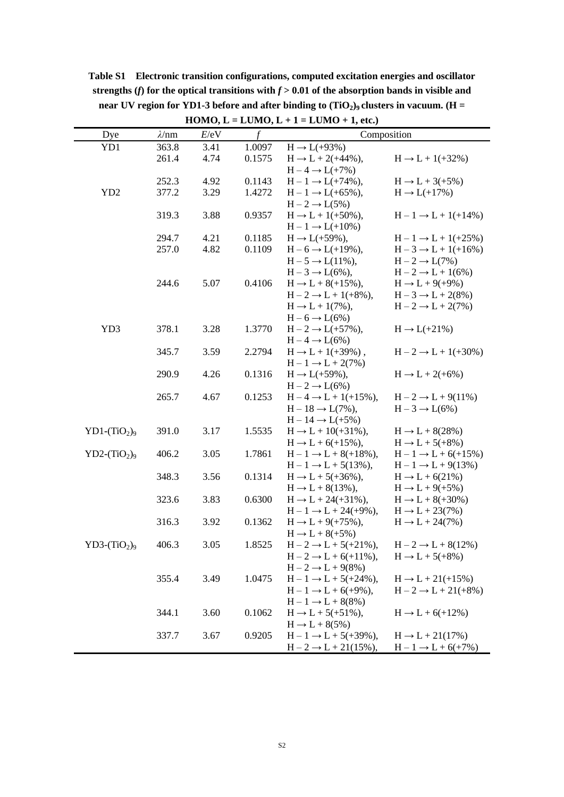| Dye             | $\lambda/\mathrm{nm}$ | E/eV         | f      | Composition                                                         |                                                                 |
|-----------------|-----------------------|--------------|--------|---------------------------------------------------------------------|-----------------------------------------------------------------|
| YD1             | 363.8                 | 3.41         | 1.0097 | $H \rightarrow L(+93\%)$                                            |                                                                 |
|                 | 261.4                 | 4.74         | 0.1575 | $H \rightarrow L + 2(+44\%)$ ,                                      | $H \rightarrow L + 1(+32\%)$                                    |
|                 |                       |              |        | $H-4 \rightarrow L(+7\%)$                                           |                                                                 |
|                 | 252.3                 | 4.92         | 0.1143 | $H - 1 \rightarrow L(+74\%)$ ,                                      | $H \rightarrow L + 3(+5\%)$                                     |
| YD <sub>2</sub> | 377.2                 | 3.29         | 1.4272 | $H - 1 \rightarrow L(+65\%),$                                       | $H \rightarrow L(+17\%)$                                        |
|                 |                       |              |        | $H - 2 \rightarrow L(5\%)$                                          |                                                                 |
|                 | 319.3                 | 3.88         | 0.9357 | $H \rightarrow L + 1(+50\%),$                                       | $H - 1 \rightarrow L + 1(+14\%)$                                |
|                 |                       |              |        | $H - 1 \rightarrow L(+10\%)$                                        |                                                                 |
|                 | 294.7                 | 4.21<br>4.82 | 0.1185 | $H \to L(+59\%)$ ,                                                  | $H - 1 \rightarrow L + 1(+25\%)$                                |
|                 | 257.0                 |              | 0.1109 | $H - 6 \rightarrow L(+19\%)$ ,<br>$H-5 \rightarrow L(11\%)$ ,       | $H - 3 \rightarrow L + 1(+16%)$<br>$H - 2 \rightarrow L(7\%)$   |
|                 |                       |              |        | $H-3 \rightarrow L(6\%)$ ,                                          | $H-2 \rightarrow L+1(6%)$                                       |
|                 | 244.6                 | 5.07         | 0.4106 | $H \rightarrow L + 8(+15\%)$ ,                                      | $H \rightarrow L + 9(+9\%)$                                     |
|                 |                       |              |        | $H - 2 \rightarrow L + 1(+8\%)$ ,                                   | $H-3 \rightarrow L+2(8\%)$                                      |
|                 |                       |              |        | $H \rightarrow L + 1(7\%)$ ,                                        | $H-2 \rightarrow L+2(7\%)$                                      |
|                 |                       |              |        | $H-6 \rightarrow L(6\%)$                                            |                                                                 |
| YD3             | 378.1                 | 3.28         | 1.3770 | $H - 2 \rightarrow L(+57\%)$ ,                                      | $H \rightarrow L(+21\%)$                                        |
|                 |                       |              |        | $H-4 \rightarrow L(6\%)$                                            |                                                                 |
|                 | 345.7                 | 3.59         | 2.2794 | $H \rightarrow L + 1(+39\%)$ ,                                      | $H - 2 \rightarrow L + 1(+30\%)$                                |
|                 |                       |              |        | $H - 1 \rightarrow L + 2(7\%)$                                      |                                                                 |
|                 | 290.9                 | 4.26         | 0.1316 | $H \rightarrow L(+59\%)$ ,                                          | $H \rightarrow L + 2(+6%)$                                      |
|                 |                       |              |        | $H - 2 \rightarrow L(6\%)$                                          |                                                                 |
|                 | 265.7                 | 4.67         | 0.1253 | $H - 4 \rightarrow L + 1(+15\%)$ ,                                  | $H-2 \rightarrow L+9(11\%)$                                     |
|                 |                       |              |        | $H-18 \rightarrow L(7\%)$ ,                                         | $H-3 \rightarrow L(6\%)$                                        |
|                 |                       |              |        | $H-14 \rightarrow L(+5\%)$                                          |                                                                 |
| $YD1-(TiO2)9$   | 391.0                 | 3.17         | 1.5535 | $H \rightarrow L + 10(+31\%)$ ,                                     | $H \rightarrow L + 8(28\%)$                                     |
| $YD2-(TiO2)9$   | 406.2                 | 3.05         | 1.7861 | $H \rightarrow L + 6(+15%)$ ,<br>$H - 1 \rightarrow L + 8(+18\%)$ , | $H \rightarrow L + 5(+8\%)$<br>$H - 1 \rightarrow L + 6(+15\%)$ |
|                 |                       |              |        | $H - 1 \rightarrow L + 5(13\%)$ ,                                   | $H - 1 \rightarrow L + 9(13\%)$                                 |
|                 | 348.3                 | 3.56         | 0.1314 | $H \rightarrow L + 5(+36%)$ ,                                       | $H \rightarrow L + 6(21\%)$                                     |
|                 |                       |              |        | $H \rightarrow L + 8(13\%)$ ,                                       | $H \rightarrow L + 9(+5\%)$                                     |
|                 | 323.6                 | 3.83         | 0.6300 | $H \rightarrow L + 24(+31\%)$ ,                                     | $H \rightarrow L + 8(+30\%)$                                    |
|                 |                       |              |        | $H - 1 \rightarrow L + 24(+9\%)$ ,                                  | $H \rightarrow L + 23(7\%)$                                     |
|                 | 316.3                 | 3.92         | 0.1362 | $H \rightarrow L + 9(+75\%)$ ,                                      | $H \rightarrow L + 24(7\%)$                                     |
|                 |                       |              |        | $H \rightarrow L + 8(+5\%)$                                         |                                                                 |
| $YD3-(TiO2)9$   | 406.3                 | 3.05         | 1.8525 | $H - 2 \rightarrow L + 5(+21\%)$ ,                                  | $H-2 \rightarrow L+8(12\%)$                                     |
|                 |                       |              |        | $H - 2 \rightarrow L + 6(+11\%)$ ,                                  | $H \rightarrow L + 5(+8\%)$                                     |
|                 |                       |              |        | $H-2 \rightarrow L+9(8\%)$                                          |                                                                 |
|                 | 355.4                 | 3.49         | 1.0475 | $H - 1 \rightarrow L + 5(+24\%)$ ,                                  | $H \rightarrow L + 21(+15%)$                                    |
|                 |                       |              |        | $H - 1 \rightarrow L + 6(+9\%)$ ,                                   | $H - 2 \rightarrow L + 21(+8%)$                                 |
|                 |                       |              |        | $H - 1 \rightarrow L + 8(8\%)$                                      |                                                                 |
|                 | 344.1                 | 3.60         | 0.1062 | $H \rightarrow L + 5(+51\%),$                                       | $H \rightarrow L + 6(+12\%)$                                    |
|                 | 337.7                 | 3.67         | 0.9205 | $H \rightarrow L + 8(5\%)$<br>$H - 1 \rightarrow L + 5(+39\%)$ ,    | $H \rightarrow L + 21(17%)$                                     |
|                 |                       |              |        | $H - 2 \rightarrow L + 21(15\%)$ ,                                  | $H - 1 \rightarrow L + 6(+7%)$                                  |
|                 |                       |              |        |                                                                     |                                                                 |

**Table S1 Electronic transition configurations, computed excitation energies and oscillator**  strengths (*f*) for the optical transitions with  $f > 0.01$  of the absorption bands in visible and **near UV region for YD1-3 before and after binding to (TiO2)9 clusters in vacuum. (H = HOMO, L** = **LUMO, L** + 1 = **LUMO** + 1, etc.)